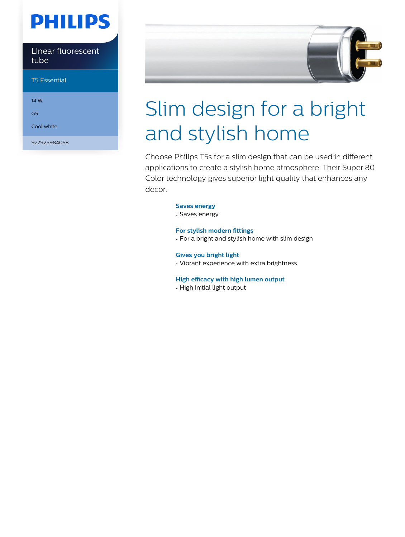# **PHILIPS**

Linear fluorescent tube

T5 Essential

14 W

G5

Cool white

927925984058



# Slim design for a bright and stylish home

Choose Philips T5s for a slim design that can be used in different applications to create a stylish home atmosphere. Their Super 80 Color technology gives superior light quality that enhances any decor.

#### **Saves energy**

• Saves energy

#### **For stylish modern fittings**

• For a bright and stylish home with slim design

#### **Gives you bright light**

• Vibrant experience with extra brightness

#### **High efficacy with high lumen output**

• High initial light output